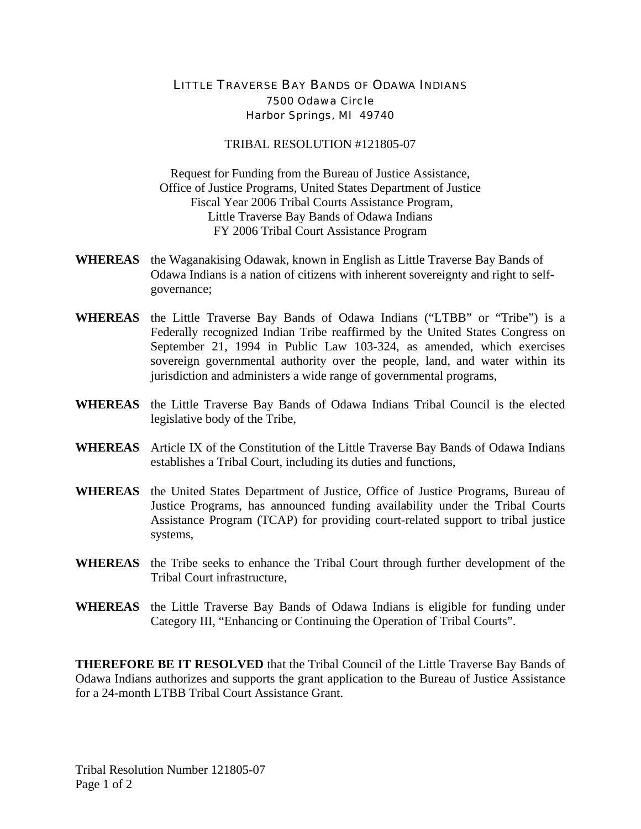## LITTLE TRAVERSE BAY BANDS OF ODAWA INDIANS 7500 Odawa Circle Harbor Springs, MI 49740

## TRIBAL RESOLUTION #121805-07

Request for Funding from the Bureau of Justice Assistance, Office of Justice Programs, United States Department of Justice Fiscal Year 2006 Tribal Courts Assistance Program, Little Traverse Bay Bands of Odawa Indians FY 2006 Tribal Court Assistance Program

- **WHEREAS** the Waganakising Odawak, known in English as Little Traverse Bay Bands of Odawa Indians is a nation of citizens with inherent sovereignty and right to selfgovernance;
- **WHEREAS** the Little Traverse Bay Bands of Odawa Indians ("LTBB" or "Tribe") is a Federally recognized Indian Tribe reaffirmed by the United States Congress on September 21, 1994 in Public Law 103-324, as amended, which exercises sovereign governmental authority over the people, land, and water within its jurisdiction and administers a wide range of governmental programs,
- **WHEREAS** the Little Traverse Bay Bands of Odawa Indians Tribal Council is the elected legislative body of the Tribe,
- **WHEREAS** Article IX of the Constitution of the Little Traverse Bay Bands of Odawa Indians establishes a Tribal Court, including its duties and functions,
- **WHEREAS** the United States Department of Justice, Office of Justice Programs, Bureau of Justice Programs, has announced funding availability under the Tribal Courts Assistance Program (TCAP) for providing court-related support to tribal justice systems,
- **WHEREAS** the Tribe seeks to enhance the Tribal Court through further development of the Tribal Court infrastructure,
- **WHEREAS** the Little Traverse Bay Bands of Odawa Indians is eligible for funding under Category III, "Enhancing or Continuing the Operation of Tribal Courts".

**THEREFORE BE IT RESOLVED** that the Tribal Council of the Little Traverse Bay Bands of Odawa Indians authorizes and supports the grant application to the Bureau of Justice Assistance for a 24-month LTBB Tribal Court Assistance Grant.